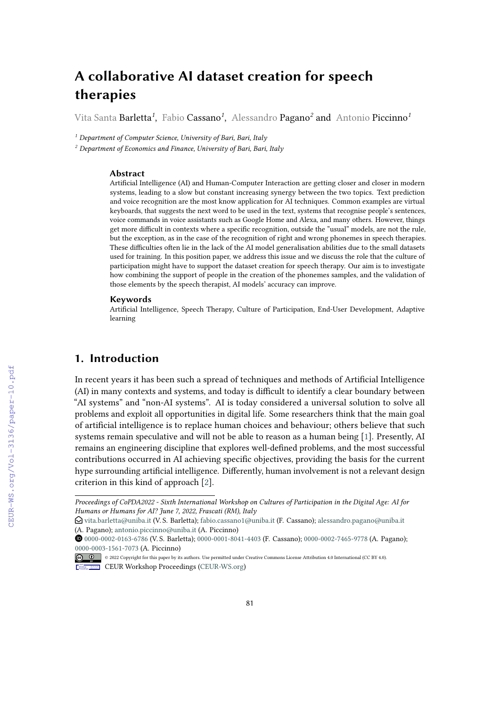# **A collaborative AI dataset creation for speech therapies**

Vita Santa Barletta*<sup>1</sup>* , Fabio Cassano*<sup>1</sup>* , Alessandro Pagano*<sup>2</sup>* and Antonio Piccinno*<sup>1</sup>*

*<sup>1</sup> Department of Computer Science, University of Bari, Bari, Italy*

*<sup>2</sup> Department of Economics and Finance, University of Bari, Bari, Italy*

#### **Abstract**

Artificial Intelligence (AI) and Human-Computer Interaction are getting closer and closer in modern systems, leading to a slow but constant increasing synergy between the two topics. Text prediction and voice recognition are the most know application for AI techniques. Common examples are virtual keyboards, that suggests the next word to be used in the text, systems that recognise people's sentences, voice commands in voice assistants such as Google Home and Alexa, and many others. However, things get more difficult in contexts where a specific recognition, outside the "usual" models, are not the rule, but the exception, as in the case of the recognition of right and wrong phonemes in speech therapies. These difficulties often lie in the lack of the AI model generalisation abilities due to the small datasets used for training. In this position paper, we address this issue and we discuss the role that the culture of participation might have to support the dataset creation for speech therapy. Our aim is to investigate how combining the support of people in the creation of the phonemes samples, and the validation of those elements by the speech therapist, AI models' accuracy can improve.

#### **Keywords**

Artificial Intelligence, Speech Therapy, Culture of Participation, End-User Development, Adaptive learning

## **1. Introduction**

In recent years it has been such a spread of techniques and methods of Artificial Intelligence (AI) in many contexts and systems, and today is difficult to identify a clear boundary between "AI systems" and "non-AI systems". AI is today considered a universal solution to solve all problems and exploit all opportunities in digital life. Some researchers think that the main goal of artificial intelligence is to replace human choices and behaviour; others believe that such systems remain speculative and will not be able to reason as a human being [\[1\]](#page--1-0). Presently, AI remains an engineering discipline that explores well-defined problems, and the most successful contributions occurred in AI achieving specific objectives, providing the basis for the current hype surrounding artificial intelligence. Differently, human involvement is not a relevant design criterion in this kind of approach [\[2\]](#page--1-1).

*Proceedings of CoPDA2022 - Sixth International Workshop on Cultures of Participation in the Digital Age: AI for Humans or Humans for AI? June 7, 2022, Frascati (RM), Italy*

 $\bigcirc$  [vita.barletta@uniba.it](mailto:vita.barletta@uniba.it) (V. S. Barletta); [fabio.cassano1@uniba.it](mailto:fabio.cassano1@uniba.it) (F. Cassano); [alessandro.pagano@uniba.it](mailto:alessandro.pagano@uniba.it) (A. Pagano); [antonio.piccinno@uniba.it](mailto:antonio.piccinno@uniba.it) (A. Piccinno)

Orcid [0000-0002-0163-6786](https://orcid.org/0000-0002-0163-6786) (V. S. Barletta); [0000-0001-8041-4403](https://orcid.org/0000-0001-8041-4403) (F. Cassano); [0000-0002-7465-9778](https://orcid.org/0000-0002-7465-9778) (A. Pagano); [0000-0003-1561-7073](https://orcid.org/0000-0003-1561-7073) (A. Piccinno)

<sup>© 2022</sup> Copyright for this paper by its authors. Use permitted under Creative Commons License Attribution 4.0 International (CC BY 4.0). CEUR Workshop [Proceedings](http://ceur-ws.org) [\(CEUR-WS.org\)](http://ceur-ws.org)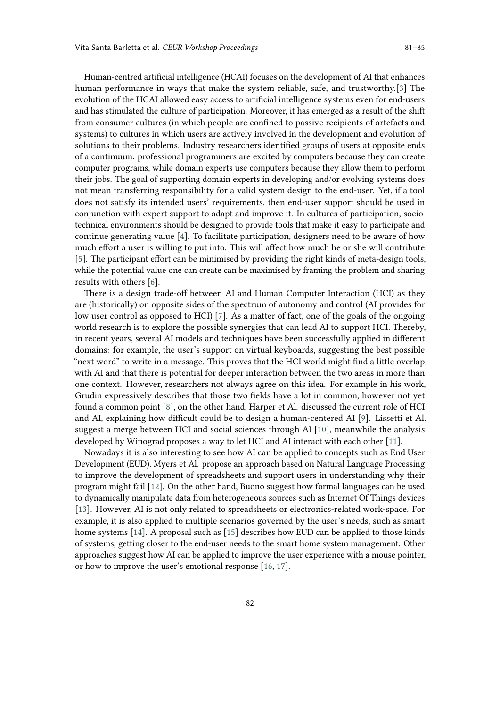Human-centred artificial intelligence (HCAI) focuses on the development of AI that enhances human performance in ways that make the system reliable, safe, and trustworthy.[\[3\]](#page-4-0) The evolution of the HCAI allowed easy access to artificial intelligence systems even for end-users and has stimulated the culture of participation. Moreover, it has emerged as a result of the shift from consumer cultures (in which people are confined to passive recipients of artefacts and systems) to cultures in which users are actively involved in the development and evolution of solutions to their problems. Industry researchers identified groups of users at opposite ends of a continuum: professional programmers are excited by computers because they can create computer programs, while domain experts use computers because they allow them to perform their jobs. The goal of supporting domain experts in developing and/or evolving systems does not mean transferring responsibility for a valid system design to the end-user. Yet, if a tool does not satisfy its intended users' requirements, then end-user support should be used in conjunction with expert support to adapt and improve it. In cultures of participation, sociotechnical environments should be designed to provide tools that make it easy to participate and continue generating value [\[4\]](#page-4-1). To facilitate participation, designers need to be aware of how much effort a user is willing to put into. This will affect how much he or she will contribute [\[5\]](#page-4-2). The participant effort can be minimised by providing the right kinds of meta-design tools, while the potential value one can create can be maximised by framing the problem and sharing results with others [\[6\]](#page-4-3).

There is a design trade-off between AI and Human Computer Interaction (HCI) as they are (historically) on opposite sides of the spectrum of autonomy and control (AI provides for low user control as opposed to HCI) [\[7\]](#page-4-4). As a matter of fact, one of the goals of the ongoing world research is to explore the possible synergies that can lead AI to support HCI. Thereby, in recent years, several AI models and techniques have been successfully applied in different domains: for example, the user's support on virtual keyboards, suggesting the best possible "next word" to write in a message. This proves that the HCI world might find a little overlap with AI and that there is potential for deeper interaction between the two areas in more than one context. However, researchers not always agree on this idea. For example in his work, Grudin expressively describes that those two fields have a lot in common, however not yet found a common point [\[8\]](#page-4-5), on the other hand, Harper et Al. discussed the current role of HCI and AI, explaining how difficult could be to design a human-centered AI [\[9\]](#page-4-6). Lissetti et Al. suggest a merge between HCI and social sciences through AI [\[10\]](#page-4-7), meanwhile the analysis developed by Winograd proposes a way to let HCI and AI interact with each other [\[11\]](#page-4-8).

Nowadays it is also interesting to see how AI can be applied to concepts such as End User Development (EUD). Myers et Al. propose an approach based on Natural Language Processing to improve the development of spreadsheets and support users in understanding why their program might fail [\[12\]](#page-4-9). On the other hand, Buono suggest how formal languages can be used to dynamically manipulate data from heterogeneous sources such as Internet Of Things devices [\[13\]](#page-4-10). However, AI is not only related to spreadsheets or electronics-related work-space. For example, it is also applied to multiple scenarios governed by the user's needs, such as smart home systems [\[14\]](#page-4-11). A proposal such as [\[15\]](#page-4-12) describes how EUD can be applied to those kinds of systems, getting closer to the end-user needs to the smart home system management. Other approaches suggest how AI can be applied to improve the user experience with a mouse pointer, or how to improve the user's emotional response [\[16,](#page-4-13) [17\]](#page-4-14).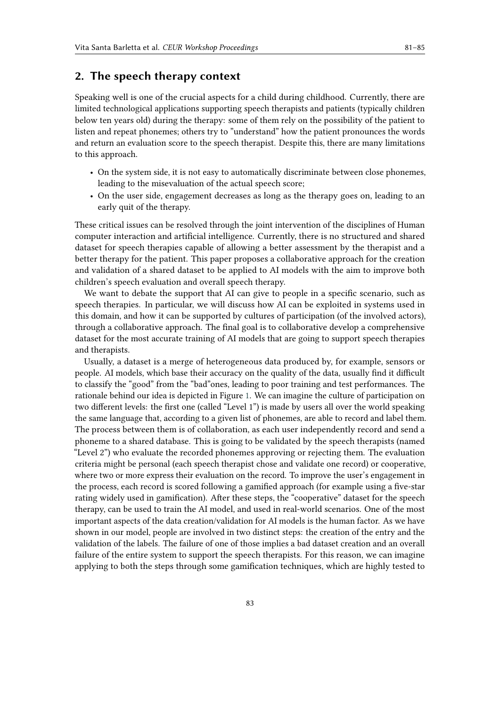### **2. The speech therapy context**

Speaking well is one of the crucial aspects for a child during childhood. Currently, there are limited technological applications supporting speech therapists and patients (typically children below ten years old) during the therapy: some of them rely on the possibility of the patient to listen and repeat phonemes; others try to "understand" how the patient pronounces the words and return an evaluation score to the speech therapist. Despite this, there are many limitations to this approach.

- On the system side, it is not easy to automatically discriminate between close phonemes, leading to the misevaluation of the actual speech score;
- On the user side, engagement decreases as long as the therapy goes on, leading to an early quit of the therapy.

These critical issues can be resolved through the joint intervention of the disciplines of Human computer interaction and artificial intelligence. Currently, there is no structured and shared dataset for speech therapies capable of allowing a better assessment by the therapist and a better therapy for the patient. This paper proposes a collaborative approach for the creation and validation of a shared dataset to be applied to AI models with the aim to improve both children's speech evaluation and overall speech therapy.

We want to debate the support that AI can give to people in a specific scenario, such as speech therapies. In particular, we will discuss how AI can be exploited in systems used in this domain, and how it can be supported by cultures of participation (of the involved actors), through a collaborative approach. The final goal is to collaborative develop a comprehensive dataset for the most accurate training of AI models that are going to support speech therapies and therapists.

Usually, a dataset is a merge of heterogeneous data produced by, for example, sensors or people. AI models, which base their accuracy on the quality of the data, usually find it difficult to classify the "good" from the "bad"ones, leading to poor training and test performances. The rationale behind our idea is depicted in Figure [1.](#page-3-0) We can imagine the culture of participation on two different levels: the first one (called "Level 1") is made by users all over the world speaking the same language that, according to a given list of phonemes, are able to record and label them. The process between them is of collaboration, as each user independently record and send a phoneme to a shared database. This is going to be validated by the speech therapists (named "Level 2") who evaluate the recorded phonemes approving or rejecting them. The evaluation criteria might be personal (each speech therapist chose and validate one record) or cooperative, where two or more express their evaluation on the record. To improve the user's engagement in the process, each record is scored following a gamified approach (for example using a five-star rating widely used in gamification). After these steps, the "cooperative" dataset for the speech therapy, can be used to train the AI model, and used in real-world scenarios. One of the most important aspects of the data creation/validation for AI models is the human factor. As we have shown in our model, people are involved in two distinct steps: the creation of the entry and the validation of the labels. The failure of one of those implies a bad dataset creation and an overall failure of the entire system to support the speech therapists. For this reason, we can imagine applying to both the steps through some gamification techniques, which are highly tested to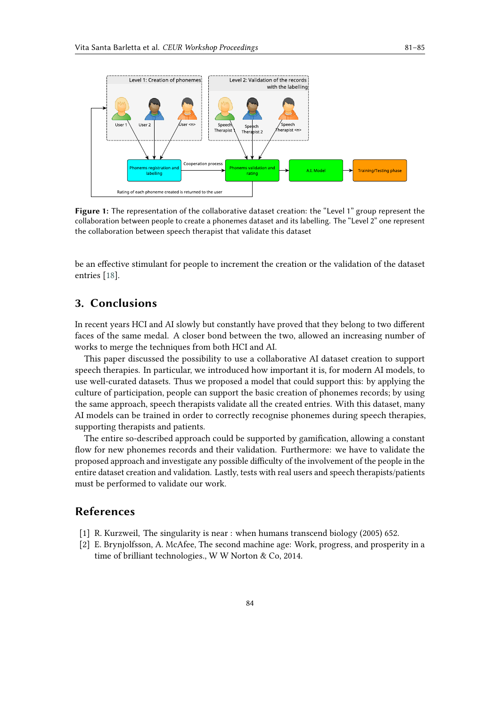

<span id="page-3-0"></span>**Figure 1:** The representation of the collaborative dataset creation: the "Level 1" group represent the collaboration between people to create a phonemes dataset and its labelling. The "Level 2" one represent the collaboration between speech therapist that validate this dataset

be an effective stimulant for people to increment the creation or the validation of the dataset entries [\[18\]](#page-4-15).

# **3. Conclusions**

In recent years HCI and AI slowly but constantly have proved that they belong to two different faces of the same medal. A closer bond between the two, allowed an increasing number of works to merge the techniques from both HCI and AI.

This paper discussed the possibility to use a collaborative AI dataset creation to support speech therapies. In particular, we introduced how important it is, for modern AI models, to use well-curated datasets. Thus we proposed a model that could support this: by applying the culture of participation, people can support the basic creation of phonemes records; by using the same approach, speech therapists validate all the created entries. With this dataset, many AI models can be trained in order to correctly recognise phonemes during speech therapies, supporting therapists and patients.

The entire so-described approach could be supported by gamification, allowing a constant flow for new phonemes records and their validation. Furthermore: we have to validate the proposed approach and investigate any possible difficulty of the involvement of the people in the entire dataset creation and validation. Lastly, tests with real users and speech therapists/patients must be performed to validate our work.

## **References**

- [1] R. Kurzweil, The singularity is near : when humans transcend biology (2005) 652.
- [2] E. Brynjolfsson, A. McAfee, The second machine age: Work, progress, and prosperity in a time of brilliant technologies., W W Norton & Co, 2014.